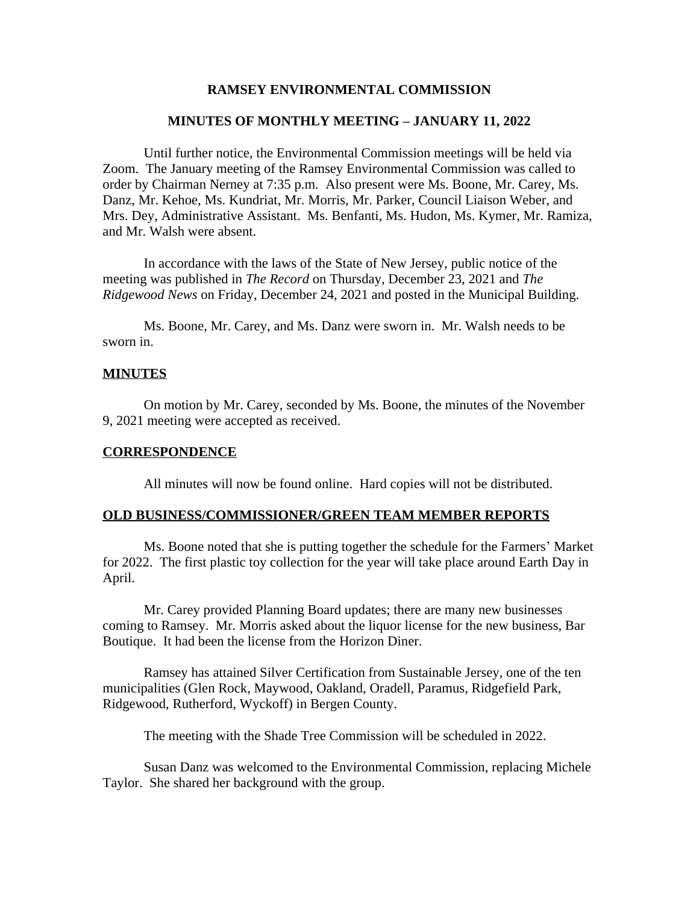# **RAMSEY ENVIRONMENTAL COMMISSION**

#### **MINUTES OF MONTHLY MEETING – JANUARY 11, 2022**

Until further notice, the Environmental Commission meetings will be held via Zoom. The January meeting of the Ramsey Environmental Commission was called to order by Chairman Nerney at 7:35 p.m. Also present were Ms. Boone, Mr. Carey, Ms. Danz, Mr. Kehoe, Ms. Kundriat, Mr. Morris, Mr. Parker, Council Liaison Weber, and Mrs. Dey, Administrative Assistant. Ms. Benfanti, Ms. Hudon, Ms. Kymer, Mr. Ramiza, and Mr. Walsh were absent.

In accordance with the laws of the State of New Jersey, public notice of the meeting was published in *The Record* on Thursday, December 23, 2021 and *The Ridgewood News* on Friday, December 24, 2021 and posted in the Municipal Building.

Ms. Boone, Mr. Carey, and Ms. Danz were sworn in. Mr. Walsh needs to be sworn in.

## **MINUTES**

On motion by Mr. Carey, seconded by Ms. Boone, the minutes of the November 9, 2021 meeting were accepted as received.

#### **CORRESPONDENCE**

All minutes will now be found online. Hard copies will not be distributed.

## **OLD BUSINESS/COMMISSIONER/GREEN TEAM MEMBER REPORTS**

Ms. Boone noted that she is putting together the schedule for the Farmers' Market for 2022. The first plastic toy collection for the year will take place around Earth Day in April.

Mr. Carey provided Planning Board updates; there are many new businesses coming to Ramsey. Mr. Morris asked about the liquor license for the new business, Bar Boutique. It had been the license from the Horizon Diner.

Ramsey has attained Silver Certification from Sustainable Jersey, one of the ten municipalities (Glen Rock, Maywood, Oakland, Oradell, Paramus, Ridgefield Park, Ridgewood, Rutherford, Wyckoff) in Bergen County.

The meeting with the Shade Tree Commission will be scheduled in 2022.

Susan Danz was welcomed to the Environmental Commission, replacing Michele Taylor. She shared her background with the group.